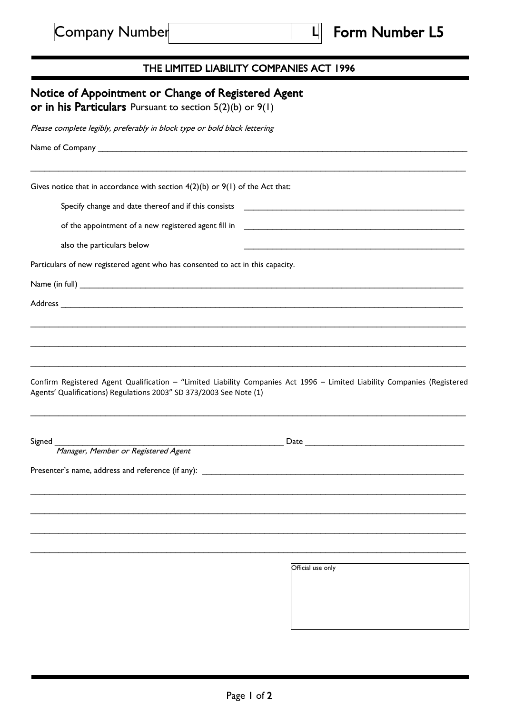## THE LIMITED LIABILITY COMPANIES ACT 1996

|                                                                                                                     | Please complete legibly, preferably in block type or bold black lettering                                                                                                                                                      |
|---------------------------------------------------------------------------------------------------------------------|--------------------------------------------------------------------------------------------------------------------------------------------------------------------------------------------------------------------------------|
|                                                                                                                     |                                                                                                                                                                                                                                |
|                                                                                                                     | Gives notice that in accordance with section $4(2)(b)$ or $9(1)$ of the Act that:                                                                                                                                              |
|                                                                                                                     |                                                                                                                                                                                                                                |
|                                                                                                                     |                                                                                                                                                                                                                                |
| also the particulars below                                                                                          | the control of the control of the control of the control of the control of the control of                                                                                                                                      |
|                                                                                                                     | Particulars of new registered agent who has consented to act in this capacity.                                                                                                                                                 |
|                                                                                                                     |                                                                                                                                                                                                                                |
|                                                                                                                     |                                                                                                                                                                                                                                |
|                                                                                                                     |                                                                                                                                                                                                                                |
|                                                                                                                     |                                                                                                                                                                                                                                |
|                                                                                                                     | Confirm Registered Agent Qualification - "Limited Liability Companies Act 1996 - Limited Liability Companies (Registered                                                                                                       |
|                                                                                                                     | Date and the state of the state of the state of the state of the state of the state of the state of the state of the state of the state of the state of the state of the state of the state of the state of the state of the s |
| Agents' Qualifications) Regulations 2003" SD 373/2003 See Note (1)<br>Signed<br>Manager, Member or Registered Agent | Presenter's name, address and reference (if any):                                                                                                                                                                              |
|                                                                                                                     |                                                                                                                                                                                                                                |
|                                                                                                                     |                                                                                                                                                                                                                                |
|                                                                                                                     |                                                                                                                                                                                                                                |
|                                                                                                                     | Official use only                                                                                                                                                                                                              |
|                                                                                                                     |                                                                                                                                                                                                                                |